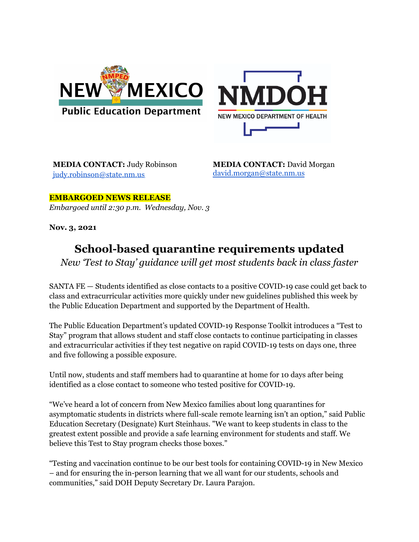



**MEDIA CONTACT:** Judy Robinson [judy.robinson@state.nm.us](mailto:judy.robinson@state.nm.us)

**MEDIA CONTACT:** David Morgan [david.morgan@state.nm.us](mailto:david.morgan@state.nm.us)

**EMBARGOED NEWS RELEASE** *Embargoed until 2:30 p.m. Wednesday, Nov. 3*

**Nov. 3, 2021**

## **School-based quarantine requirements updated**

*New 'Test to Stay' guidance will get most students back in class faster*

SANTA FE — Students identified as close contacts to a positive COVID-19 case could get back to class and extracurricular activities more quickly under new guidelines published this week by the Public Education Department and supported by the Department of Health.

The Public Education Department's updated COVID-19 Response Toolkit introduces a "Test to Stay" program that allows student and staff close contacts to continue participating in classes and extracurricular activities if they test negative on rapid COVID-19 tests on days one, three and five following a possible exposure.

Until now, students and staff members had to quarantine at home for 10 days after being identified as a close contact to someone who tested positive for COVID-19.

"We've heard a lot of concern from New Mexico families about long quarantines for asymptomatic students in districts where full-scale remote learning isn't an option," said Public Education Secretary (Designate) Kurt Steinhaus. "We want to keep students in class to the greatest extent possible and provide a safe learning environment for students and staff. We believe this Test to Stay program checks those boxes."

"Testing and vaccination continue to be our best tools for containing COVID-19 in New Mexico – and for ensuring the in-person learning that we all want for our students, schools and communities," said DOH Deputy Secretary Dr. Laura Parajon.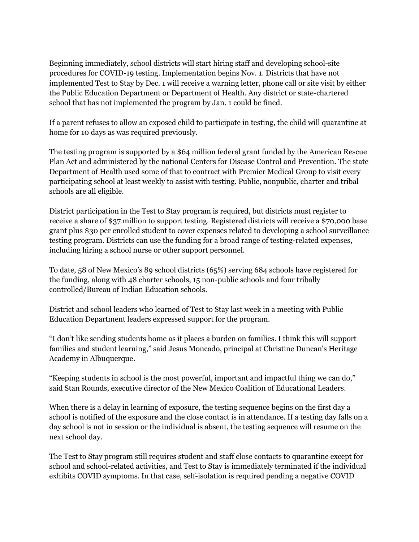Beginning immediately, school districts will start hiring staff and developing school-site procedures for COVID-19 testing. Implementation begins Nov. 1. Districts that have not implemented Test to Stay by Dec. 1 will receive a warning letter, phone call or site visit by either the Public Education Department or Department of Health. Any district or state-chartered school that has not implemented the program by Jan. 1 could be fined.

If a parent refuses to allow an exposed child to participate in testing, the child will quarantine at home for 10 days as was required previously.

The testing program is supported by a \$64 million federal grant funded by the American Rescue Plan Act and administered by the national Centers for Disease Control and Prevention. The state Department of Health used some of that to contract with Premier Medical Group to visit every participating school at least weekly to assist with testing. Public, nonpublic, charter and tribal schools are all eligible.

District participation in the Test to Stay program is required, but districts must register to receive a share of \$37 million to support testing. Registered districts will receive a \$70,000 base grant plus \$30 per enrolled student to cover expenses related to developing a school surveillance testing program. Districts can use the funding for a broad range of testing-related expenses, including hiring a school nurse or other support personnel.

To date, 58 of New Mexico's 89 school districts (65%) serving 684 schools have registered for the funding, along with 48 charter schools, 15 non-public schools and four tribally controlled/Bureau of Indian Education schools.

District and school leaders who learned of Test to Stay last week in a meeting with Public Education Department leaders expressed support for the program.

"I don't like sending students home as it places a burden on families. I think this will support families and student learning," said Jesus Moncado, principal at Christine [Duncan's](https://www.bing.com/search?q=Christine+Duncan%27s+Heritage+Academy) Heritage [Academy](https://www.bing.com/search?q=Christine+Duncan%27s+Heritage+Academy) in Albuquerque.

"Keeping students in school is the most powerful, important and impactful thing we can do," said Stan Rounds, executive director of the New Mexico Coalition of Educational Leaders.

When there is a delay in learning of exposure, the testing sequence begins on the first day a school is notified of the exposure and the close contact is in attendance. If a testing day falls on a day school is not in session or the individual is absent, the testing sequence will resume on the next school day.

The Test to Stay program still requires student and staff close contacts to quarantine except for school and school-related activities, and Test to Stay is immediately terminated if the individual exhibits COVID symptoms. In that case, self-isolation is required pending a negative COVID